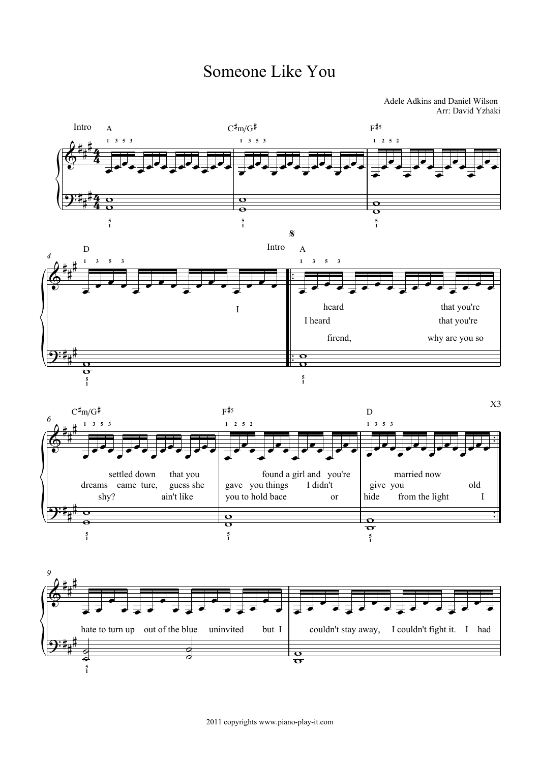## Someone Like You

Adele Adkins and Daniel Wilson Arr: David Yzhaki









2011 copyrights www.piano-play-it.com

X3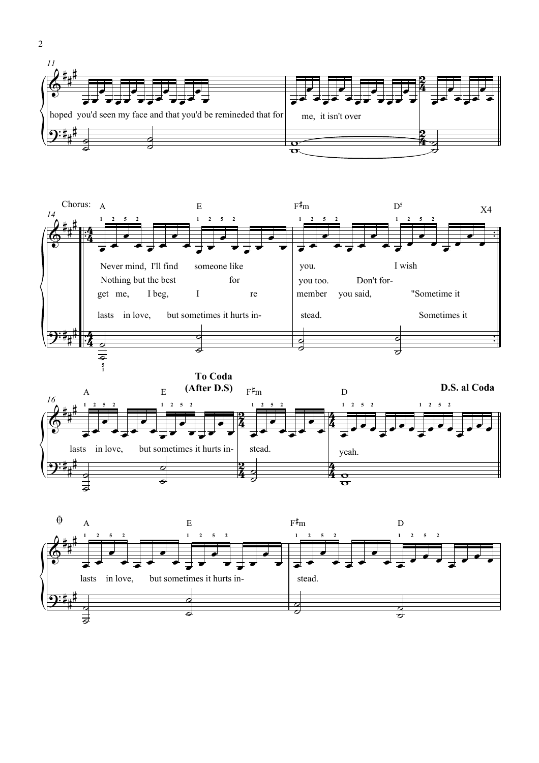